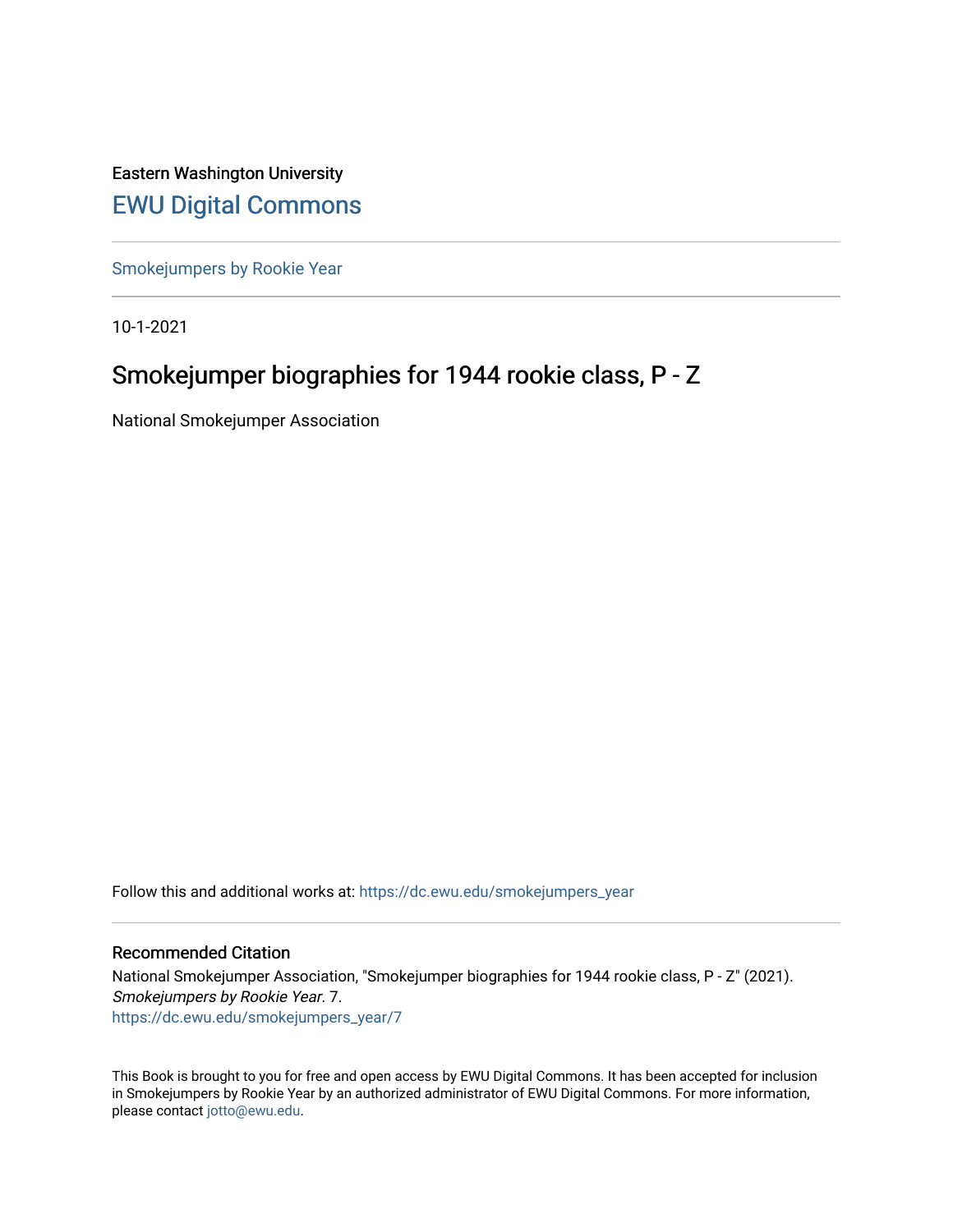Eastern Washington University [EWU Digital Commons](https://dc.ewu.edu/)

[Smokejumpers by Rookie Year](https://dc.ewu.edu/smokejumpers_year)

10-1-2021

# Smokejumper biographies for 1944 rookie class, P - Z

National Smokejumper Association

Follow this and additional works at: [https://dc.ewu.edu/smokejumpers\\_year](https://dc.ewu.edu/smokejumpers_year?utm_source=dc.ewu.edu%2Fsmokejumpers_year%2F7&utm_medium=PDF&utm_campaign=PDFCoverPages) 

#### Recommended Citation

National Smokejumper Association, "Smokejumper biographies for 1944 rookie class, P - Z" (2021). Smokejumpers by Rookie Year. 7. [https://dc.ewu.edu/smokejumpers\\_year/7](https://dc.ewu.edu/smokejumpers_year/7?utm_source=dc.ewu.edu%2Fsmokejumpers_year%2F7&utm_medium=PDF&utm_campaign=PDFCoverPages)

This Book is brought to you for free and open access by EWU Digital Commons. It has been accepted for inclusion in Smokejumpers by Rookie Year by an authorized administrator of EWU Digital Commons. For more information, please contact [jotto@ewu.edu](mailto:jotto@ewu.edu).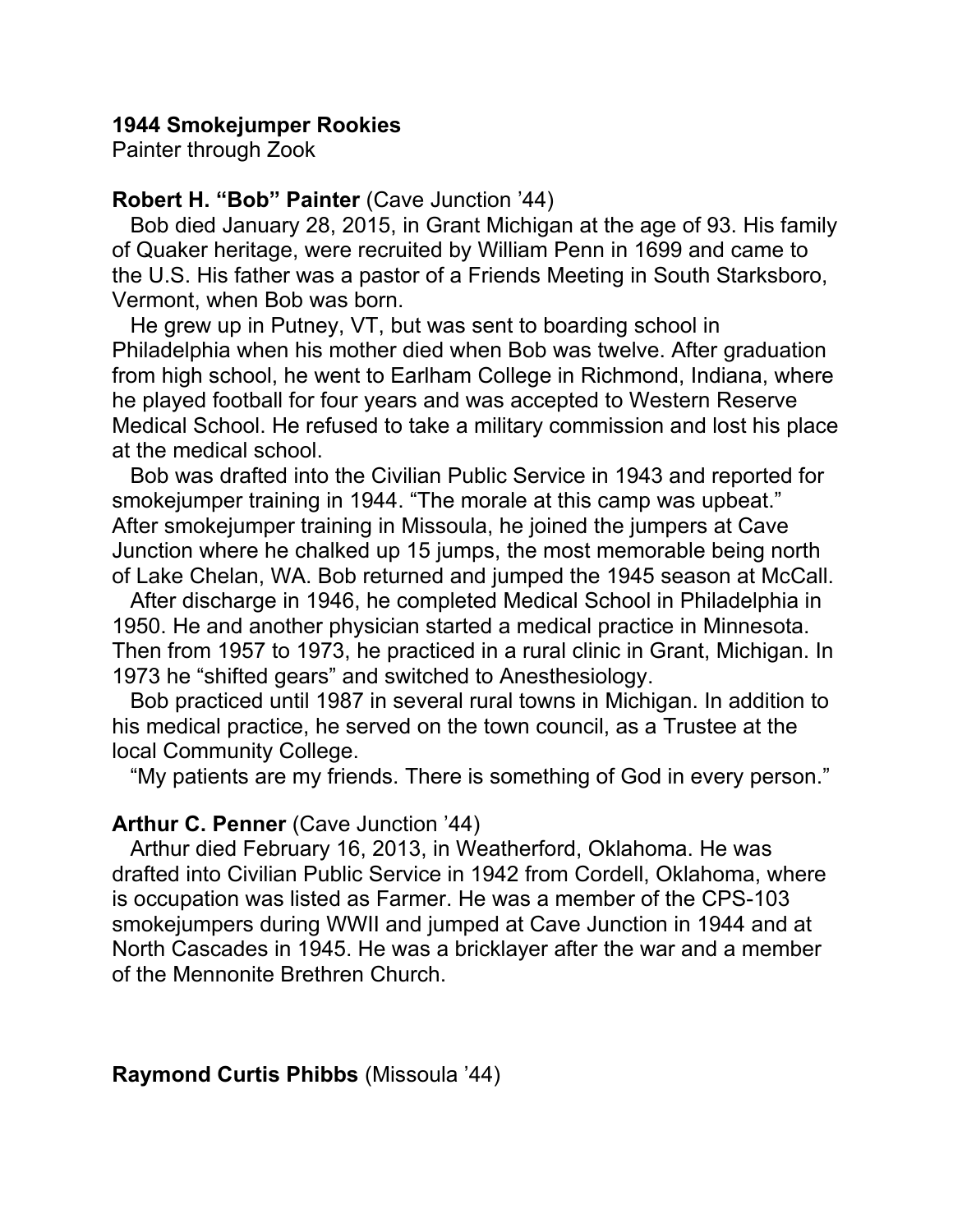## **1944 Smokejumper Rookies**

Painter through Zook

## **Robert H. "Bob" Painter** (Cave Junction '44)

 Bob died January 28, 2015, in Grant Michigan at the age of 93. His family of Quaker heritage, were recruited by William Penn in 1699 and came to the U.S. His father was a pastor of a Friends Meeting in South Starksboro, Vermont, when Bob was born.

 He grew up in Putney, VT, but was sent to boarding school in Philadelphia when his mother died when Bob was twelve. After graduation from high school, he went to Earlham College in Richmond, Indiana, where he played football for four years and was accepted to Western Reserve Medical School. He refused to take a military commission and lost his place at the medical school.

 Bob was drafted into the Civilian Public Service in 1943 and reported for smokejumper training in 1944. "The morale at this camp was upbeat." After smokejumper training in Missoula, he joined the jumpers at Cave Junction where he chalked up 15 jumps, the most memorable being north of Lake Chelan, WA. Bob returned and jumped the 1945 season at McCall.

 After discharge in 1946, he completed Medical School in Philadelphia in 1950. He and another physician started a medical practice in Minnesota. Then from 1957 to 1973, he practiced in a rural clinic in Grant, Michigan. In 1973 he "shifted gears" and switched to Anesthesiology.

 Bob practiced until 1987 in several rural towns in Michigan. In addition to his medical practice, he served on the town council, as a Trustee at the local Community College.

"My patients are my friends. There is something of God in every person."

#### **Arthur C. Penner** (Cave Junction '44)

 Arthur died February 16, 2013, in Weatherford, Oklahoma. He was drafted into Civilian Public Service in 1942 from Cordell, Oklahoma, where is occupation was listed as Farmer. He was a member of the CPS-103 smokejumpers during WWII and jumped at Cave Junction in 1944 and at North Cascades in 1945. He was a bricklayer after the war and a member of the Mennonite Brethren Church.

#### **Raymond Curtis Phibbs** (Missoula '44)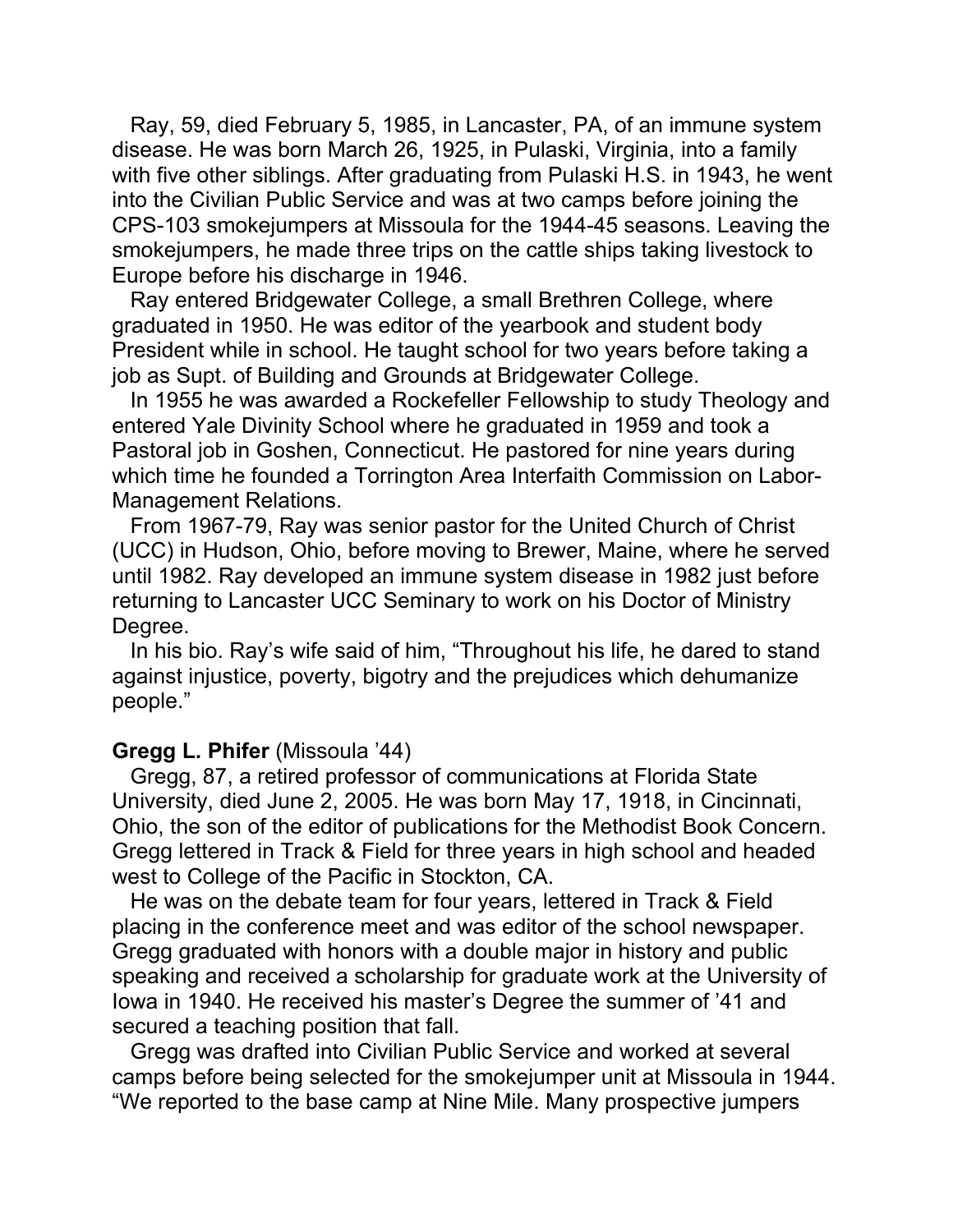Ray, 59, died February 5, 1985, in Lancaster, PA, of an immune system disease. He was born March 26, 1925, in Pulaski, Virginia, into a family with five other siblings. After graduating from Pulaski H.S. in 1943, he went into the Civilian Public Service and was at two camps before joining the CPS-103 smokejumpers at Missoula for the 1944-45 seasons. Leaving the smokejumpers, he made three trips on the cattle ships taking livestock to Europe before his discharge in 1946.

 Ray entered Bridgewater College, a small Brethren College, where graduated in 1950. He was editor of the yearbook and student body President while in school. He taught school for two years before taking a job as Supt. of Building and Grounds at Bridgewater College.

 In 1955 he was awarded a Rockefeller Fellowship to study Theology and entered Yale Divinity School where he graduated in 1959 and took a Pastoral job in Goshen, Connecticut. He pastored for nine years during which time he founded a Torrington Area Interfaith Commission on Labor-Management Relations.

 From 1967-79, Ray was senior pastor for the United Church of Christ (UCC) in Hudson, Ohio, before moving to Brewer, Maine, where he served until 1982. Ray developed an immune system disease in 1982 just before returning to Lancaster UCC Seminary to work on his Doctor of Ministry Degree.

 In his bio. Ray's wife said of him, "Throughout his life, he dared to stand against injustice, poverty, bigotry and the prejudices which dehumanize people."

## **Gregg L. Phifer** (Missoula '44)

 Gregg, 87, a retired professor of communications at Florida State University, died June 2, 2005. He was born May 17, 1918, in Cincinnati, Ohio, the son of the editor of publications for the Methodist Book Concern. Gregg lettered in Track & Field for three years in high school and headed west to College of the Pacific in Stockton, CA.

 He was on the debate team for four years, lettered in Track & Field placing in the conference meet and was editor of the school newspaper. Gregg graduated with honors with a double major in history and public speaking and received a scholarship for graduate work at the University of Iowa in 1940. He received his master's Degree the summer of '41 and secured a teaching position that fall.

 Gregg was drafted into Civilian Public Service and worked at several camps before being selected for the smokejumper unit at Missoula in 1944. "We reported to the base camp at Nine Mile. Many prospective jumpers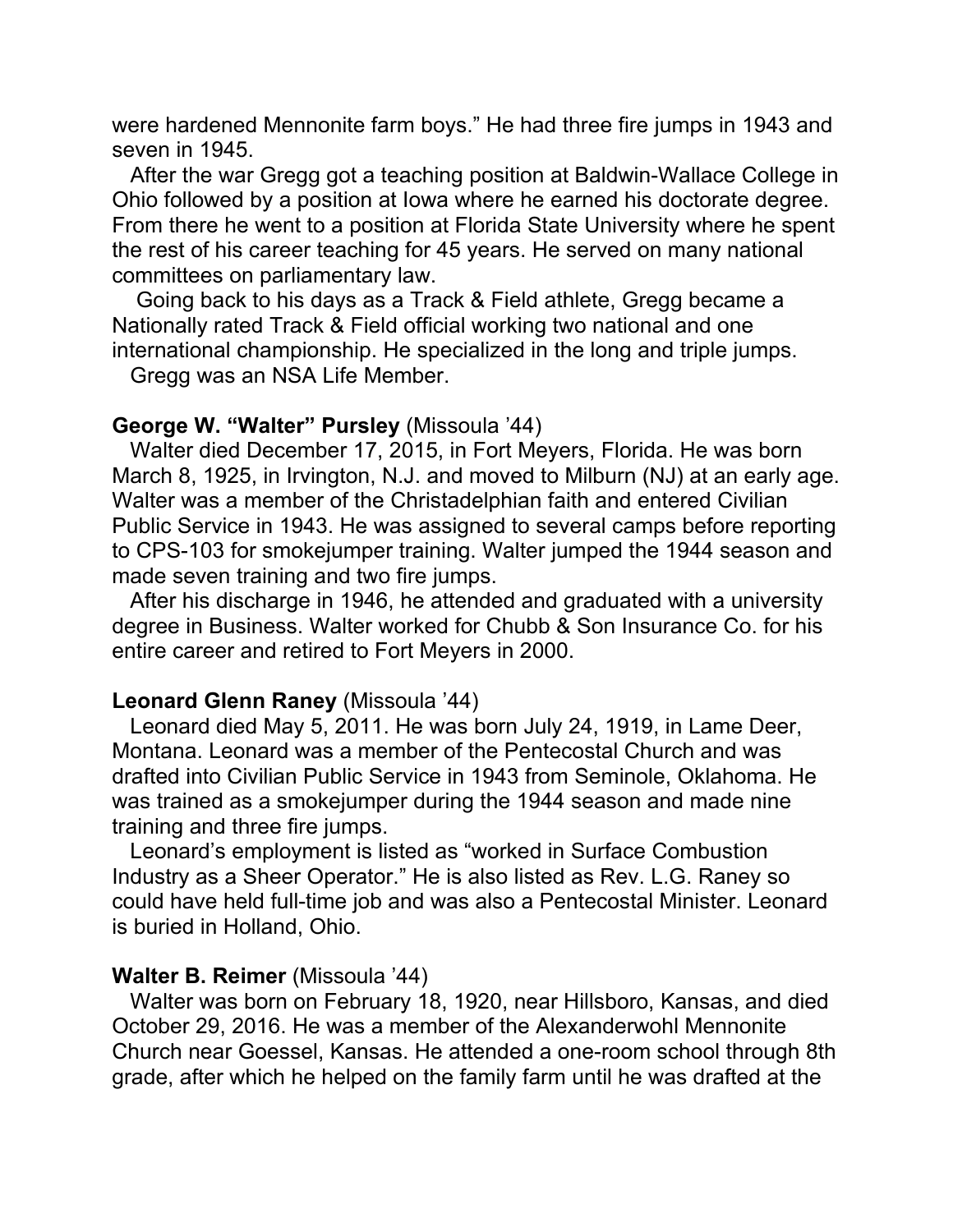were hardened Mennonite farm boys." He had three fire jumps in 1943 and seven in 1945.

 After the war Gregg got a teaching position at Baldwin-Wallace College in Ohio followed by a position at Iowa where he earned his doctorate degree. From there he went to a position at Florida State University where he spent the rest of his career teaching for 45 years. He served on many national committees on parliamentary law.

 Going back to his days as a Track & Field athlete, Gregg became a Nationally rated Track & Field official working two national and one international championship. He specialized in the long and triple jumps.

Gregg was an NSA Life Member.

## **George W. "Walter" Pursley** (Missoula '44)

 Walter died December 17, 2015, in Fort Meyers, Florida. He was born March 8, 1925, in Irvington, N.J. and moved to Milburn (NJ) at an early age. Walter was a member of the Christadelphian faith and entered Civilian Public Service in 1943. He was assigned to several camps before reporting to CPS-103 for smokejumper training. Walter jumped the 1944 season and made seven training and two fire jumps.

 After his discharge in 1946, he attended and graduated with a university degree in Business. Walter worked for Chubb & Son Insurance Co. for his entire career and retired to Fort Meyers in 2000.

## **Leonard Glenn Raney** (Missoula '44)

 Leonard died May 5, 2011. He was born July 24, 1919, in Lame Deer, Montana. Leonard was a member of the Pentecostal Church and was drafted into Civilian Public Service in 1943 from Seminole, Oklahoma. He was trained as a smokejumper during the 1944 season and made nine training and three fire jumps.

 Leonard's employment is listed as "worked in Surface Combustion Industry as a Sheer Operator." He is also listed as Rev. L.G. Raney so could have held full-time job and was also a Pentecostal Minister. Leonard is buried in Holland, Ohio.

## **Walter B. Reimer** (Missoula '44)

 Walter was born on February 18, 1920, near Hillsboro, Kansas, and died October 29, 2016. He was a member of the Alexanderwohl Mennonite Church near Goessel, Kansas. He attended a one-room school through 8th grade, after which he helped on the family farm until he was drafted at the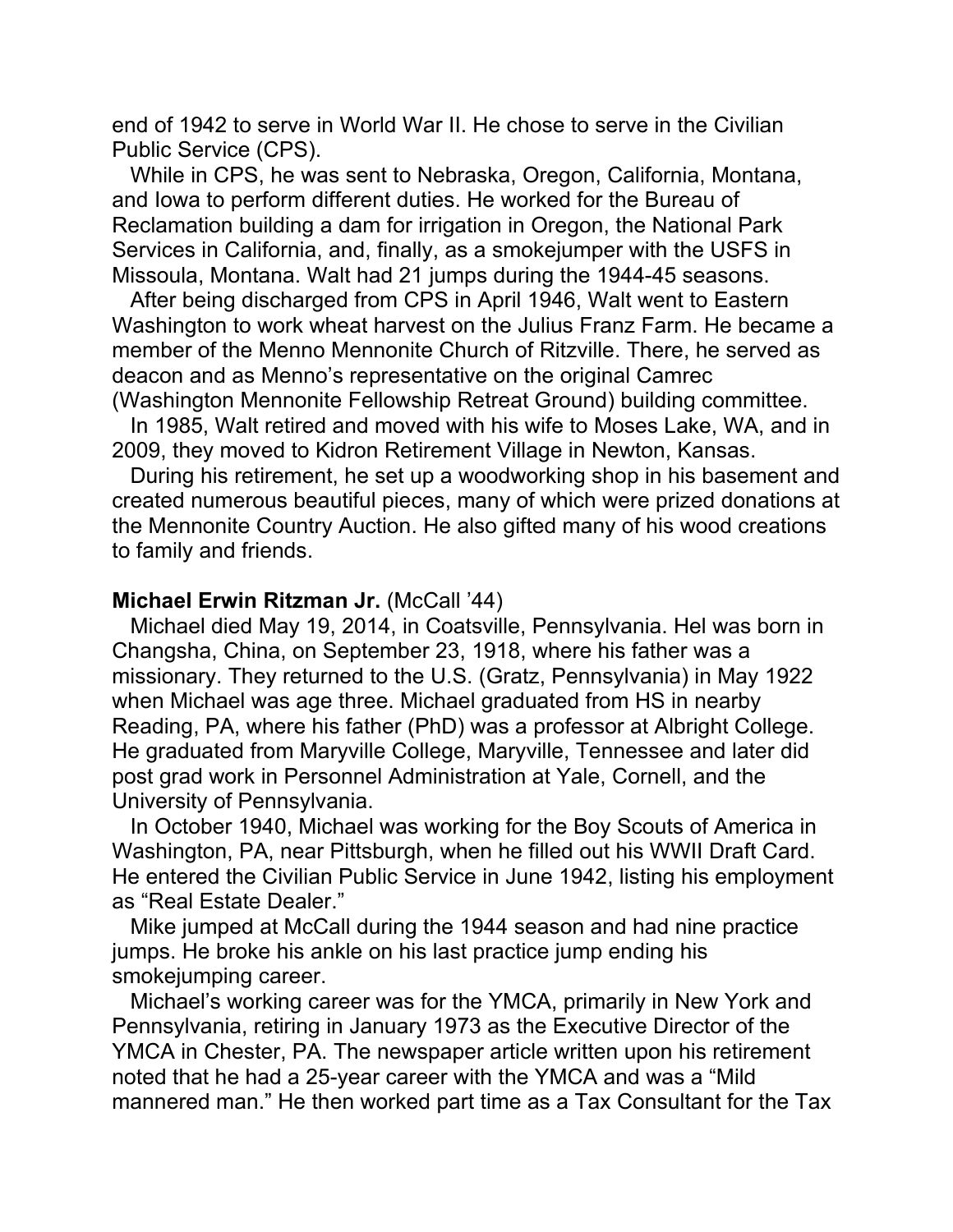end of 1942 to serve in World War II. He chose to serve in the Civilian Public Service (CPS).

 While in CPS, he was sent to Nebraska, Oregon, California, Montana, and Iowa to perform different duties. He worked for the Bureau of Reclamation building a dam for irrigation in Oregon, the National Park Services in California, and, finally, as a smokejumper with the USFS in Missoula, Montana. Walt had 21 jumps during the 1944-45 seasons.

 After being discharged from CPS in April 1946, Walt went to Eastern Washington to work wheat harvest on the Julius Franz Farm. He became a member of the Menno Mennonite Church of Ritzville. There, he served as deacon and as Menno's representative on the original Camrec (Washington Mennonite Fellowship Retreat Ground) building committee.

 In 1985, Walt retired and moved with his wife to Moses Lake, WA, and in 2009, they moved to Kidron Retirement Village in Newton, Kansas.

 During his retirement, he set up a woodworking shop in his basement and created numerous beautiful pieces, many of which were prized donations at the Mennonite Country Auction. He also gifted many of his wood creations to family and friends.

#### **Michael Erwin Ritzman Jr. (McCall '44)**

 Michael died May 19, 2014, in Coatsville, Pennsylvania. Hel was born in Changsha, China, on September 23, 1918, where his father was a missionary. They returned to the U.S. (Gratz, Pennsylvania) in May 1922 when Michael was age three. Michael graduated from HS in nearby Reading, PA, where his father (PhD) was a professor at Albright College. He graduated from Maryville College, Maryville, Tennessee and later did post grad work in Personnel Administration at Yale, Cornell, and the University of Pennsylvania.

 In October 1940, Michael was working for the Boy Scouts of America in Washington, PA, near Pittsburgh, when he filled out his WWII Draft Card. He entered the Civilian Public Service in June 1942, listing his employment as "Real Estate Dealer."

 Mike jumped at McCall during the 1944 season and had nine practice jumps. He broke his ankle on his last practice jump ending his smokejumping career.

 Michael's working career was for the YMCA, primarily in New York and Pennsylvania, retiring in January 1973 as the Executive Director of the YMCA in Chester, PA. The newspaper article written upon his retirement noted that he had a 25-year career with the YMCA and was a "Mild mannered man." He then worked part time as a Tax Consultant for the Tax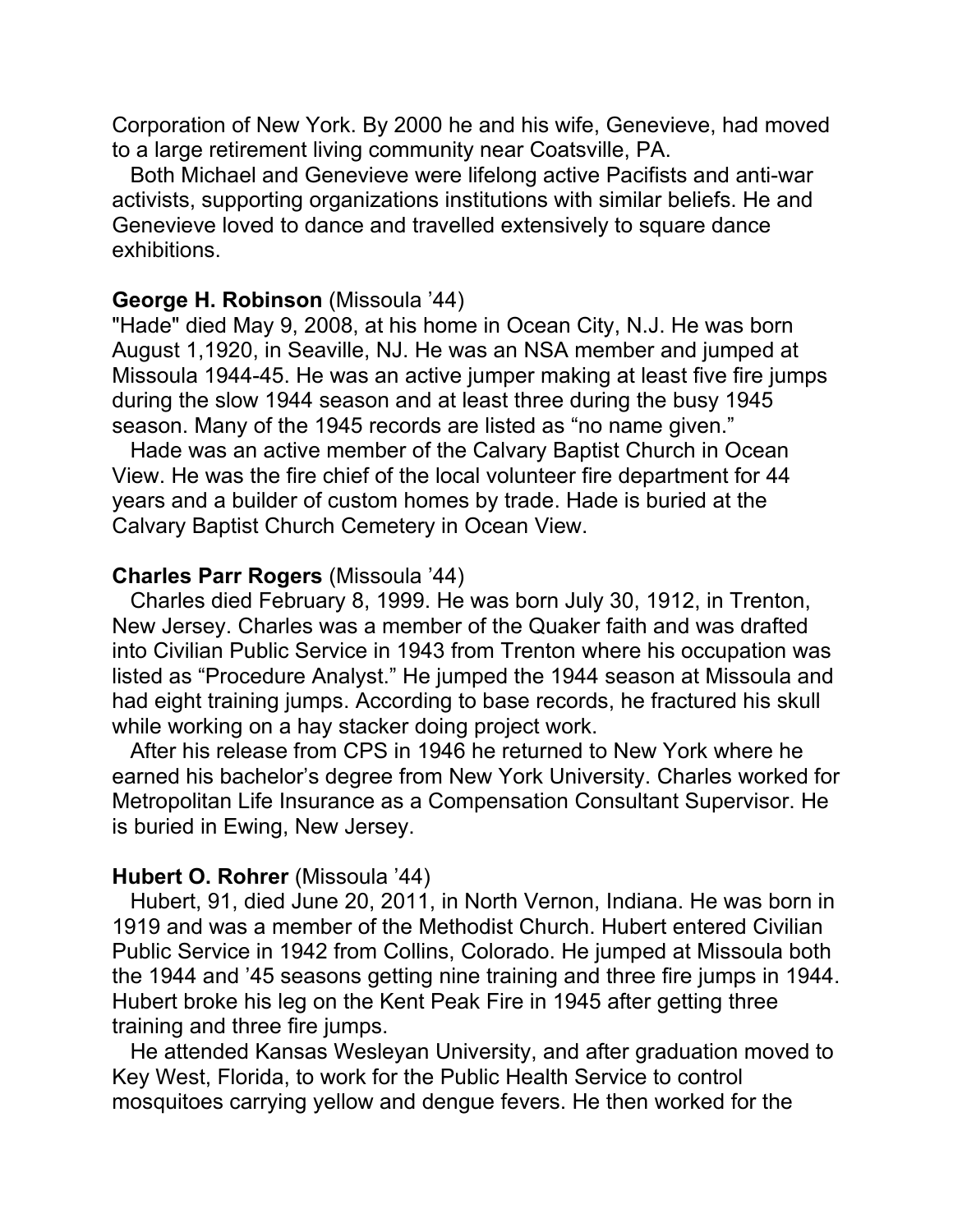Corporation of New York. By 2000 he and his wife, Genevieve, had moved to a large retirement living community near Coatsville, PA.

 Both Michael and Genevieve were lifelong active Pacifists and anti-war activists, supporting organizations institutions with similar beliefs. He and Genevieve loved to dance and travelled extensively to square dance exhibitions.

#### **George H. Robinson** (Missoula '44)

"Hade" died May 9, 2008, at his home in Ocean City, N.J. He was born August 1,1920, in Seaville, NJ. He was an NSA member and jumped at Missoula 1944-45. He was an active jumper making at least five fire jumps during the slow 1944 season and at least three during the busy 1945 season. Many of the 1945 records are listed as "no name given."

 Hade was an active member of the Calvary Baptist Church in Ocean View. He was the fire chief of the local volunteer fire department for 44 years and a builder of custom homes by trade. Hade is buried at the Calvary Baptist Church Cemetery in Ocean View.

#### **Charles Parr Rogers** (Missoula '44)

 Charles died February 8, 1999. He was born July 30, 1912, in Trenton, New Jersey. Charles was a member of the Quaker faith and was drafted into Civilian Public Service in 1943 from Trenton where his occupation was listed as "Procedure Analyst." He jumped the 1944 season at Missoula and had eight training jumps. According to base records, he fractured his skull while working on a hay stacker doing project work.

 After his release from CPS in 1946 he returned to New York where he earned his bachelor's degree from New York University. Charles worked for Metropolitan Life Insurance as a Compensation Consultant Supervisor. He is buried in Ewing, New Jersey.

#### **Hubert O. Rohrer** (Missoula '44)

 Hubert, 91, died June 20, 2011, in North Vernon, Indiana. He was born in 1919 and was a member of the Methodist Church. Hubert entered Civilian Public Service in 1942 from Collins, Colorado. He jumped at Missoula both the 1944 and '45 seasons getting nine training and three fire jumps in 1944. Hubert broke his leg on the Kent Peak Fire in 1945 after getting three training and three fire jumps.

 He attended Kansas Wesleyan University, and after graduation moved to Key West, Florida, to work for the Public Health Service to control mosquitoes carrying yellow and dengue fevers. He then worked for the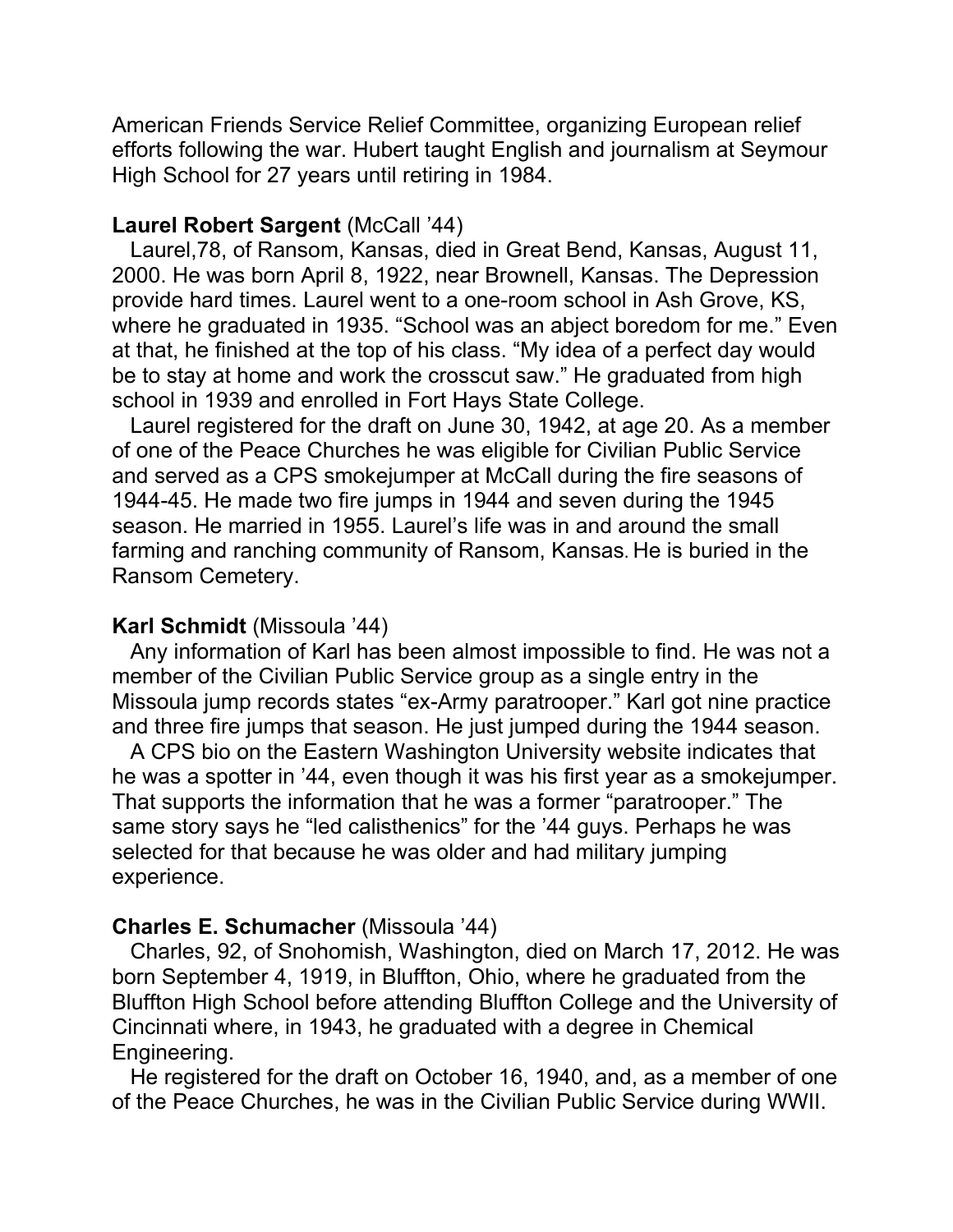American Friends Service Relief Committee, organizing European relief efforts following the war. Hubert taught English and journalism at Seymour High School for 27 years until retiring in 1984.

## **Laurel Robert Sargent** (McCall '44)

 Laurel,78, of Ransom, Kansas, died in Great Bend, Kansas, August 11, 2000. He was born April 8, 1922, near Brownell, Kansas. The Depression provide hard times. Laurel went to a one-room school in Ash Grove, KS, where he graduated in 1935. "School was an abject boredom for me." Even at that, he finished at the top of his class. "My idea of a perfect day would be to stay at home and work the crosscut saw." He graduated from high school in 1939 and enrolled in Fort Hays State College.

 Laurel registered for the draft on June 30, 1942, at age 20. As a member of one of the Peace Churches he was eligible for Civilian Public Service and served as a CPS smokejumper at McCall during the fire seasons of 1944-45. He made two fire jumps in 1944 and seven during the 1945 season. He married in 1955. Laurel's life was in and around the small farming and ranching community of Ransom, Kansas. He is buried in the Ransom Cemetery.

#### **Karl Schmidt** (Missoula '44)

 Any information of Karl has been almost impossible to find. He was not a member of the Civilian Public Service group as a single entry in the Missoula jump records states "ex-Army paratrooper." Karl got nine practice and three fire jumps that season. He just jumped during the 1944 season.

 A CPS bio on the Eastern Washington University website indicates that he was a spotter in '44, even though it was his first year as a smokejumper. That supports the information that he was a former "paratrooper." The same story says he "led calisthenics" for the '44 guys. Perhaps he was selected for that because he was older and had military jumping experience.

#### **Charles E. Schumacher** (Missoula '44)

 Charles, 92, of Snohomish, Washington, died on March 17, 2012. He was born September 4, 1919, in Bluffton, Ohio, where he graduated from the Bluffton High School before attending Bluffton College and the University of Cincinnati where, in 1943, he graduated with a degree in Chemical Engineering.

 He registered for the draft on October 16, 1940, and, as a member of one of the Peace Churches, he was in the Civilian Public Service during WWII.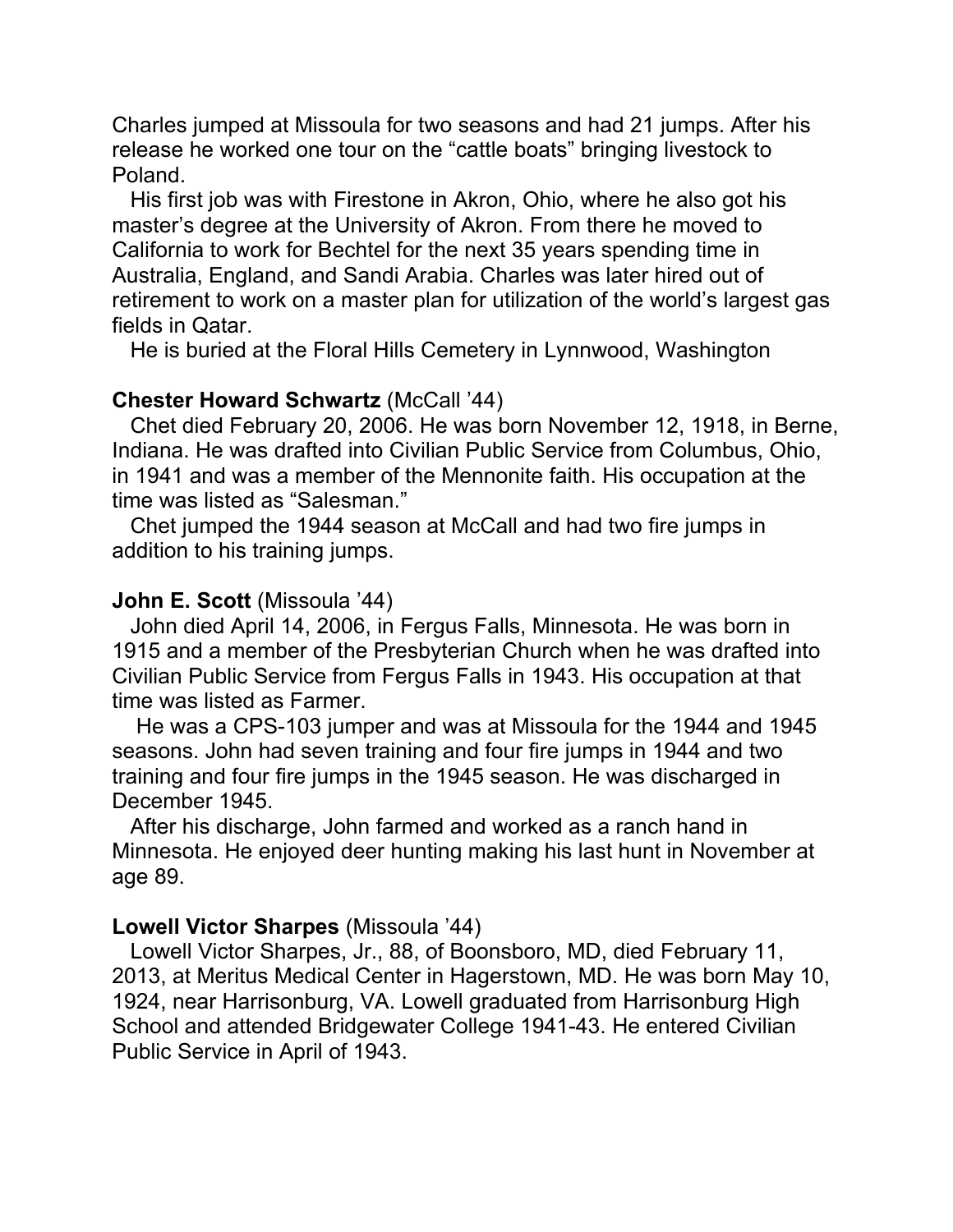Charles jumped at Missoula for two seasons and had 21 jumps. After his release he worked one tour on the "cattle boats" bringing livestock to Poland.

 His first job was with Firestone in Akron, Ohio, where he also got his master's degree at the University of Akron. From there he moved to California to work for Bechtel for the next 35 years spending time in Australia, England, and Sandi Arabia. Charles was later hired out of retirement to work on a master plan for utilization of the world's largest gas fields in Qatar.

He is buried at the Floral Hills Cemetery in Lynnwood, Washington

## **Chester Howard Schwartz** (McCall '44)

 Chet died February 20, 2006. He was born November 12, 1918, in Berne, Indiana. He was drafted into Civilian Public Service from Columbus, Ohio, in 1941 and was a member of the Mennonite faith. His occupation at the time was listed as "Salesman."

 Chet jumped the 1944 season at McCall and had two fire jumps in addition to his training jumps.

## **John E. Scott** (Missoula '44)

 John died April 14, 2006, in Fergus Falls, Minnesota. He was born in 1915 and a member of the Presbyterian Church when he was drafted into Civilian Public Service from Fergus Falls in 1943. His occupation at that time was listed as Farmer.

 He was a CPS-103 jumper and was at Missoula for the 1944 and 1945 seasons. John had seven training and four fire jumps in 1944 and two training and four fire jumps in the 1945 season. He was discharged in December 1945.

 After his discharge, John farmed and worked as a ranch hand in Minnesota. He enjoyed deer hunting making his last hunt in November at age 89.

## **Lowell Victor Sharpes** (Missoula '44)

 Lowell Victor Sharpes, Jr., 88, of Boonsboro, MD, died February 11, 2013, at Meritus Medical Center in Hagerstown, MD. He was born May 10, 1924, near Harrisonburg, VA. Lowell graduated from Harrisonburg High School and attended Bridgewater College 1941-43. He entered Civilian Public Service in April of 1943.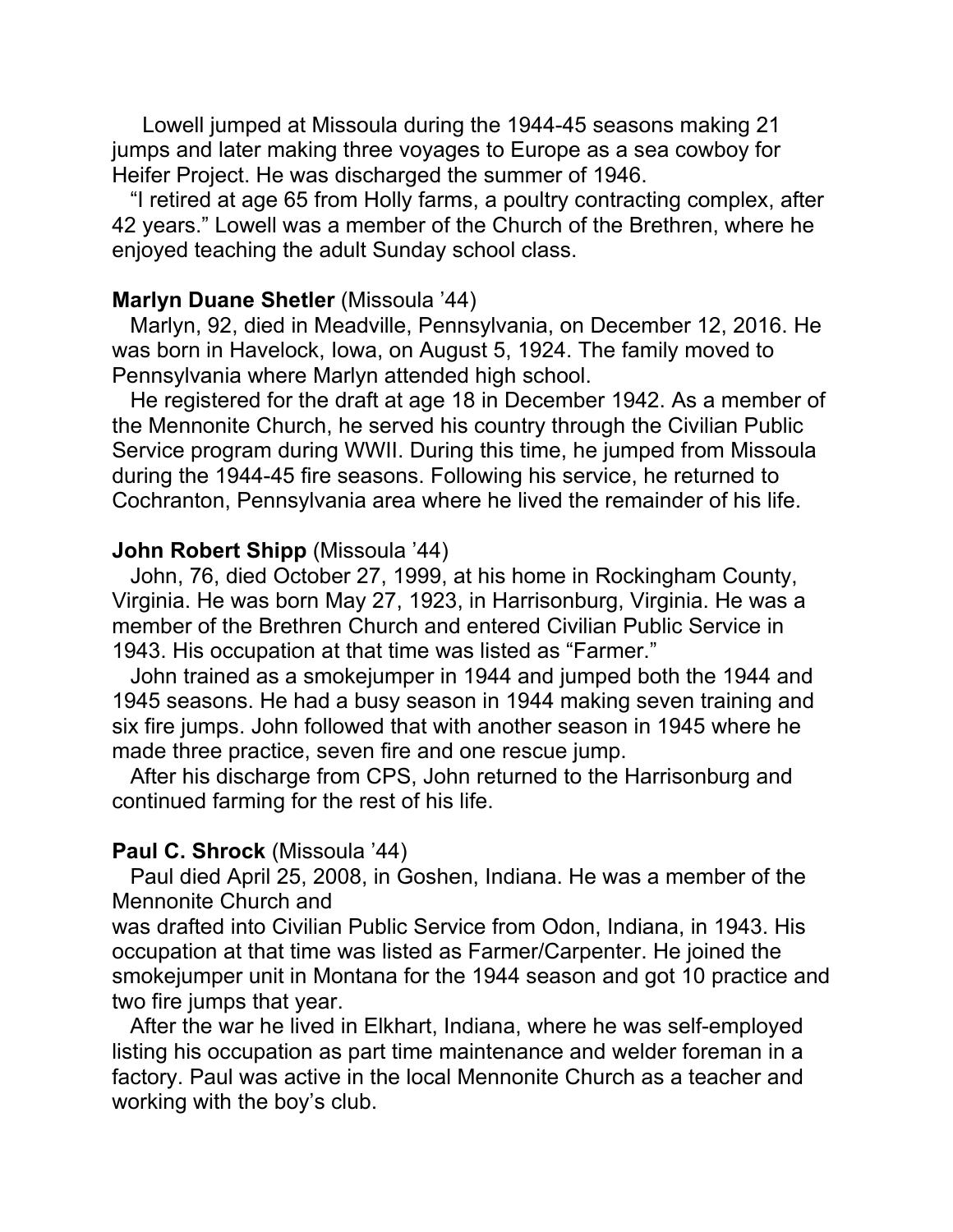Lowell jumped at Missoula during the 1944-45 seasons making 21 jumps and later making three voyages to Europe as a sea cowboy for Heifer Project. He was discharged the summer of 1946.

 "I retired at age 65 from Holly farms, a poultry contracting complex, after 42 years." Lowell was a member of the Church of the Brethren, where he enjoyed teaching the adult Sunday school class.

#### **Marlyn Duane Shetler** (Missoula '44)

 Marlyn, 92, died in Meadville, Pennsylvania, on December 12, 2016. He was born in Havelock, Iowa, on August 5, 1924. The family moved to Pennsylvania where Marlyn attended high school.

 He registered for the draft at age 18 in December 1942. As a member of the Mennonite Church, he served his country through the Civilian Public Service program during WWII. During this time, he jumped from Missoula during the 1944-45 fire seasons. Following his service, he returned to Cochranton, Pennsylvania area where he lived the remainder of his life.

#### **John Robert Shipp** (Missoula '44)

 John, 76, died October 27, 1999, at his home in Rockingham County, Virginia. He was born May 27, 1923, in Harrisonburg, Virginia. He was a member of the Brethren Church and entered Civilian Public Service in 1943. His occupation at that time was listed as "Farmer."

 John trained as a smokejumper in 1944 and jumped both the 1944 and 1945 seasons. He had a busy season in 1944 making seven training and six fire jumps. John followed that with another season in 1945 where he made three practice, seven fire and one rescue jump.

 After his discharge from CPS, John returned to the Harrisonburg and continued farming for the rest of his life.

#### **Paul C. Shrock** (Missoula '44)

 Paul died April 25, 2008, in Goshen, Indiana. He was a member of the Mennonite Church and

was drafted into Civilian Public Service from Odon, Indiana, in 1943. His occupation at that time was listed as Farmer/Carpenter. He joined the smokejumper unit in Montana for the 1944 season and got 10 practice and two fire jumps that year.

 After the war he lived in Elkhart, Indiana, where he was self-employed listing his occupation as part time maintenance and welder foreman in a factory. Paul was active in the local Mennonite Church as a teacher and working with the boy's club.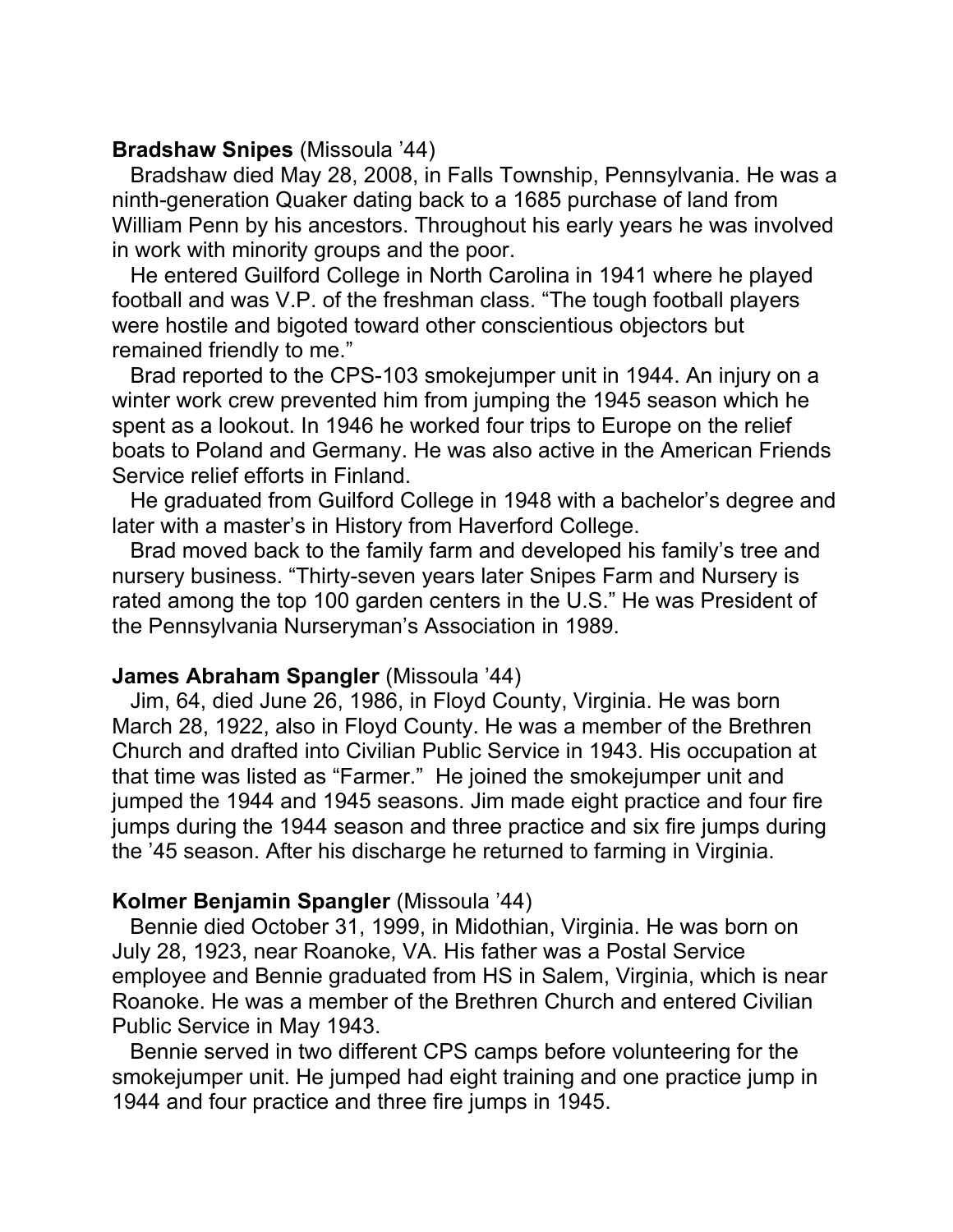## **Bradshaw Snipes** (Missoula '44)

 Bradshaw died May 28, 2008, in Falls Township, Pennsylvania. He was a ninth-generation Quaker dating back to a 1685 purchase of land from William Penn by his ancestors. Throughout his early years he was involved in work with minority groups and the poor.

 He entered Guilford College in North Carolina in 1941 where he played football and was V.P. of the freshman class. "The tough football players were hostile and bigoted toward other conscientious objectors but remained friendly to me."

 Brad reported to the CPS-103 smokejumper unit in 1944. An injury on a winter work crew prevented him from jumping the 1945 season which he spent as a lookout. In 1946 he worked four trips to Europe on the relief boats to Poland and Germany. He was also active in the American Friends Service relief efforts in Finland.

 He graduated from Guilford College in 1948 with a bachelor's degree and later with a master's in History from Haverford College.

 Brad moved back to the family farm and developed his family's tree and nursery business. "Thirty-seven years later Snipes Farm and Nursery is rated among the top 100 garden centers in the U.S." He was President of the Pennsylvania Nurseryman's Association in 1989.

## **James Abraham Spangler** (Missoula '44)

 Jim, 64, died June 26, 1986, in Floyd County, Virginia. He was born March 28, 1922, also in Floyd County. He was a member of the Brethren Church and drafted into Civilian Public Service in 1943. His occupation at that time was listed as "Farmer." He joined the smokejumper unit and jumped the 1944 and 1945 seasons. Jim made eight practice and four fire jumps during the 1944 season and three practice and six fire jumps during the '45 season. After his discharge he returned to farming in Virginia.

## **Kolmer Benjamin Spangler** (Missoula '44)

 Bennie died October 31, 1999, in Midothian, Virginia. He was born on July 28, 1923, near Roanoke, VA. His father was a Postal Service employee and Bennie graduated from HS in Salem, Virginia, which is near Roanoke. He was a member of the Brethren Church and entered Civilian Public Service in May 1943.

 Bennie served in two different CPS camps before volunteering for the smokejumper unit. He jumped had eight training and one practice jump in 1944 and four practice and three fire jumps in 1945.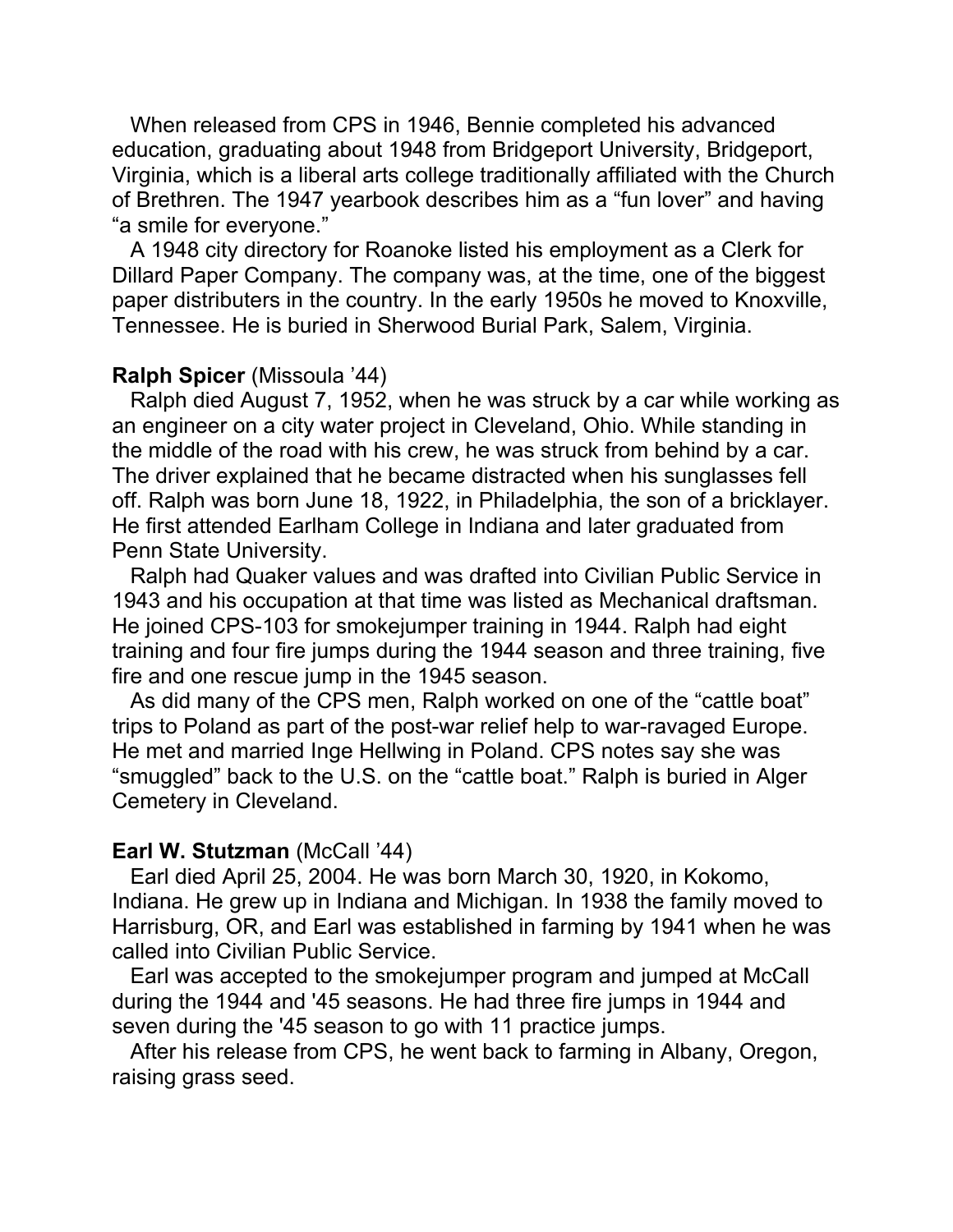When released from CPS in 1946, Bennie completed his advanced education, graduating about 1948 from Bridgeport University, Bridgeport, Virginia, which is a liberal arts college traditionally affiliated with the Church of Brethren. The 1947 yearbook describes him as a "fun lover" and having "a smile for everyone."

 A 1948 city directory for Roanoke listed his employment as a Clerk for Dillard Paper Company. The company was, at the time, one of the biggest paper distributers in the country. In the early 1950s he moved to Knoxville, Tennessee. He is buried in Sherwood Burial Park, Salem, Virginia.

#### **Ralph Spicer** (Missoula '44)

 Ralph died August 7, 1952, when he was struck by a car while working as an engineer on a city water project in Cleveland, Ohio. While standing in the middle of the road with his crew, he was struck from behind by a car. The driver explained that he became distracted when his sunglasses fell off. Ralph was born June 18, 1922, in Philadelphia, the son of a bricklayer. He first attended Earlham College in Indiana and later graduated from Penn State University.

 Ralph had Quaker values and was drafted into Civilian Public Service in 1943 and his occupation at that time was listed as Mechanical draftsman. He joined CPS-103 for smokejumper training in 1944. Ralph had eight training and four fire jumps during the 1944 season and three training, five fire and one rescue jump in the 1945 season.

 As did many of the CPS men, Ralph worked on one of the "cattle boat" trips to Poland as part of the post-war relief help to war-ravaged Europe. He met and married Inge Hellwing in Poland. CPS notes say she was "smuggled" back to the U.S. on the "cattle boat." Ralph is buried in Alger Cemetery in Cleveland.

#### **Earl W. Stutzman** (McCall '44)

 Earl died April 25, 2004. He was born March 30, 1920, in Kokomo, Indiana. He grew up in Indiana and Michigan. In 1938 the family moved to Harrisburg, OR, and Earl was established in farming by 1941 when he was called into Civilian Public Service.

 Earl was accepted to the smokejumper program and jumped at McCall during the 1944 and '45 seasons. He had three fire jumps in 1944 and seven during the '45 season to go with 11 practice jumps.

 After his release from CPS, he went back to farming in Albany, Oregon, raising grass seed.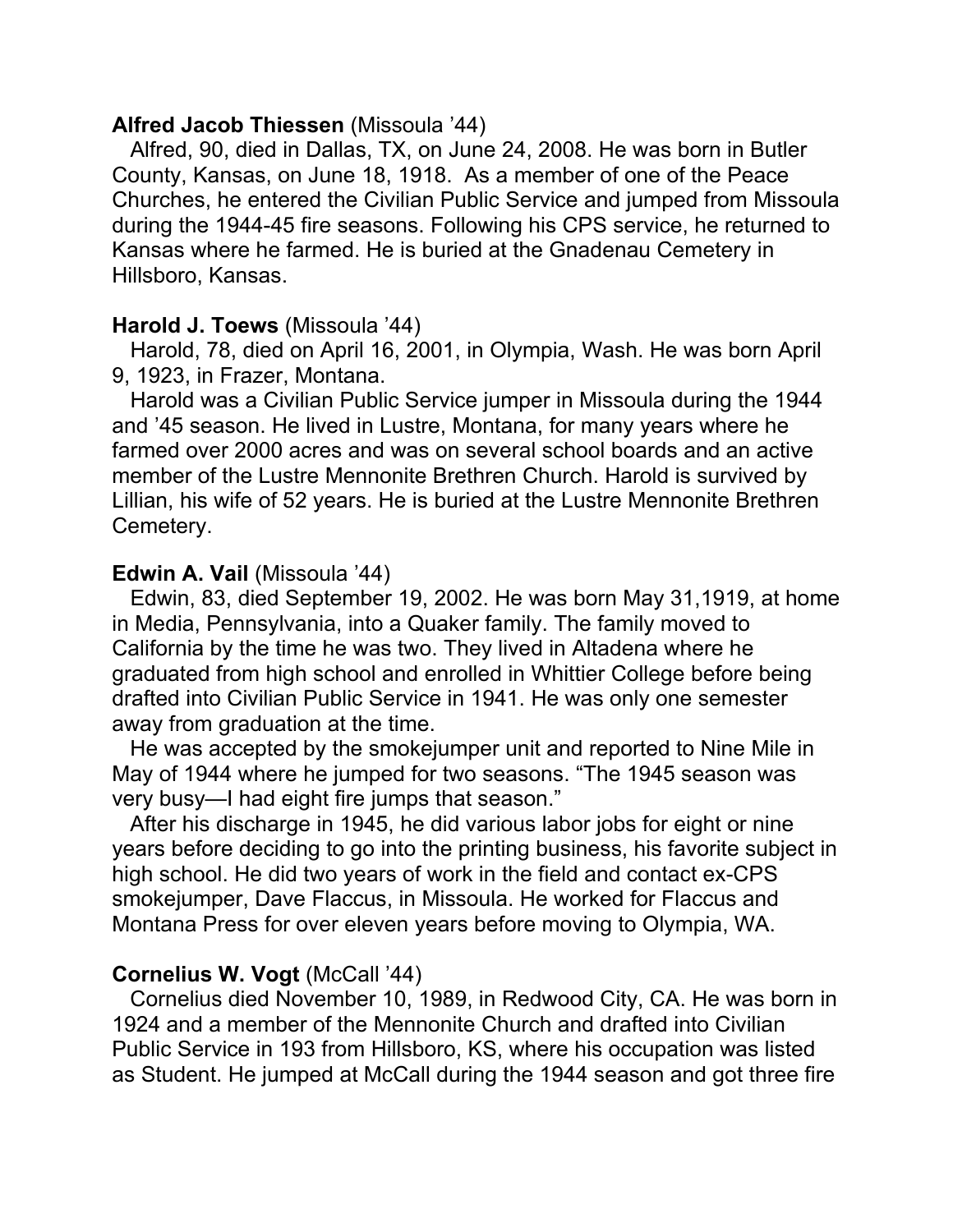## **Alfred Jacob Thiessen** (Missoula '44)

 Alfred, 90, died in Dallas, TX, on June 24, 2008. He was born in Butler County, Kansas, on June 18, 1918. As a member of one of the Peace Churches, he entered the Civilian Public Service and jumped from Missoula during the 1944-45 fire seasons. Following his CPS service, he returned to Kansas where he farmed. He is buried at the Gnadenau Cemetery in Hillsboro, Kansas.

## **Harold J. Toews** (Missoula '44)

 Harold, 78, died on April 16, 2001, in Olympia, Wash. He was born April 9, 1923, in Frazer, Montana.

 Harold was a Civilian Public Service jumper in Missoula during the 1944 and '45 season. He lived in Lustre, Montana, for many years where he farmed over 2000 acres and was on several school boards and an active member of the Lustre Mennonite Brethren Church. Harold is survived by Lillian, his wife of 52 years. He is buried at the Lustre Mennonite Brethren Cemetery.

## **Edwin A. Vail** (Missoula '44)

 Edwin, 83, died September 19, 2002. He was born May 31,1919, at home in Media, Pennsylvania, into a Quaker family. The family moved to California by the time he was two. They lived in Altadena where he graduated from high school and enrolled in Whittier College before being drafted into Civilian Public Service in 1941. He was only one semester away from graduation at the time.

 He was accepted by the smokejumper unit and reported to Nine Mile in May of 1944 where he jumped for two seasons. "The 1945 season was very busy—I had eight fire jumps that season."

 After his discharge in 1945, he did various labor jobs for eight or nine years before deciding to go into the printing business, his favorite subject in high school. He did two years of work in the field and contact ex-CPS smokejumper, Dave Flaccus, in Missoula. He worked for Flaccus and Montana Press for over eleven years before moving to Olympia, WA.

## **Cornelius W. Vogt** (McCall '44)

 Cornelius died November 10, 1989, in Redwood City, CA. He was born in 1924 and a member of the Mennonite Church and drafted into Civilian Public Service in 193 from Hillsboro, KS, where his occupation was listed as Student. He jumped at McCall during the 1944 season and got three fire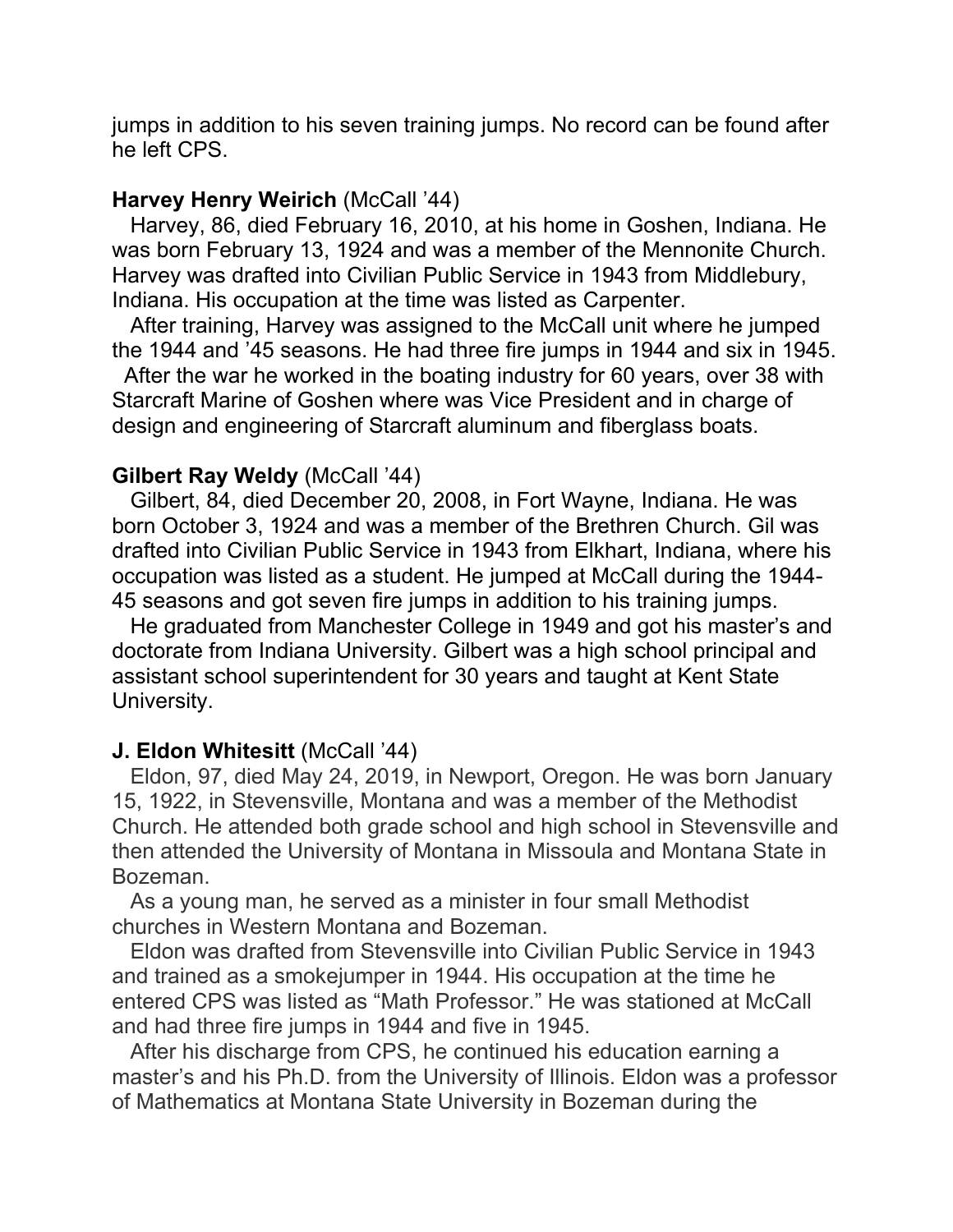jumps in addition to his seven training jumps. No record can be found after he left CPS.

## **Harvey Henry Weirich** (McCall '44)

 Harvey, 86, died February 16, 2010, at his home in Goshen, Indiana. He was born February 13, 1924 and was a member of the Mennonite Church. Harvey was drafted into Civilian Public Service in 1943 from Middlebury, Indiana. His occupation at the time was listed as Carpenter.

 After training, Harvey was assigned to the McCall unit where he jumped the 1944 and '45 seasons. He had three fire jumps in 1944 and six in 1945.

 After the war he worked in the boating industry for 60 years, over 38 with Starcraft Marine of Goshen where was Vice President and in charge of design and engineering of Starcraft aluminum and fiberglass boats.

## **Gilbert Ray Weldy** (McCall '44)

 Gilbert, 84, died December 20, 2008, in Fort Wayne, Indiana. He was born October 3, 1924 and was a member of the Brethren Church. Gil was drafted into Civilian Public Service in 1943 from Elkhart, Indiana, where his occupation was listed as a student. He jumped at McCall during the 1944- 45 seasons and got seven fire jumps in addition to his training jumps.

 He graduated from Manchester College in 1949 and got his master's and doctorate from Indiana University. Gilbert was a high school principal and assistant school superintendent for 30 years and taught at Kent State University.

## **J. Eldon Whitesitt** (McCall '44)

 Eldon, 97, died May 24, 2019, in Newport, Oregon. He was born January 15, 1922, in Stevensville, Montana and was a member of the Methodist Church. He attended both grade school and high school in Stevensville and then attended the University of Montana in Missoula and Montana State in Bozeman.

 As a young man, he served as a minister in four small Methodist churches in Western Montana and Bozeman.

 Eldon was drafted from Stevensville into Civilian Public Service in 1943 and trained as a smokejumper in 1944. His occupation at the time he entered CPS was listed as "Math Professor." He was stationed at McCall and had three fire jumps in 1944 and five in 1945.

 After his discharge from CPS, he continued his education earning a master's and his Ph.D. from the University of Illinois. Eldon was a professor of Mathematics at Montana State University in Bozeman during the